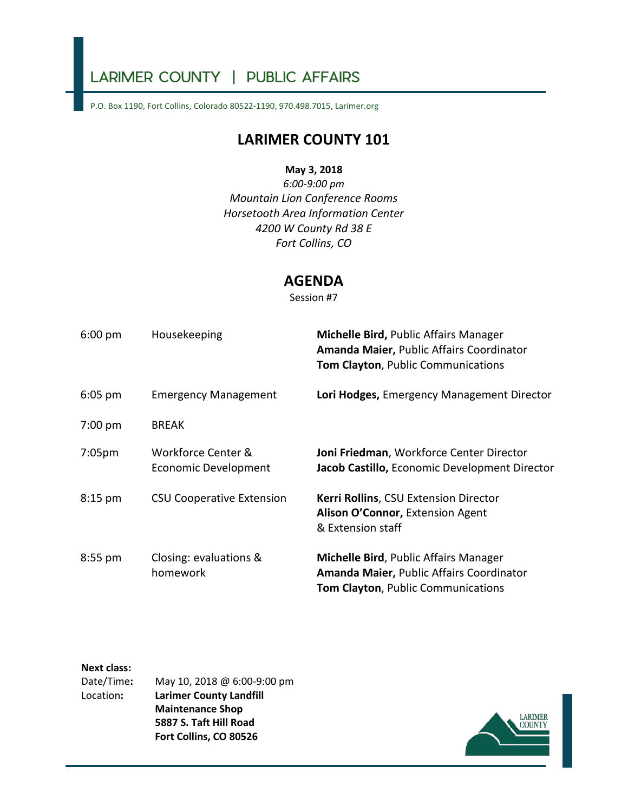# LARIMER COUNTY | PUBLIC AFFAIRS

P.O. Box 1190, Fort Collins, Colorado 80522-1190, 970.498.7015, [Larimer.org](https://Larimer.org)

## **LARIMER COUNTY 101**

## **May 3, 2018**

*6:00-9:00 pm Mountain Lion Conference Rooms Horsetooth Area Information Center 4200 W County Rd 38 E Fort Collins, CO* 

## **AGENDA**

Session #7

| $6:00 \text{ pm}$  | Housekeeping                                      | Michelle Bird, Public Affairs Manager<br>Amanda Maier, Public Affairs Coordinator<br>Tom Clayton, Public Communications |
|--------------------|---------------------------------------------------|-------------------------------------------------------------------------------------------------------------------------|
| $6:05$ pm          | <b>Emergency Management</b>                       | Lori Hodges, Emergency Management Director                                                                              |
| $7:00$ pm          | <b>BREAK</b>                                      |                                                                                                                         |
| 7:05 <sub>pm</sub> | Workforce Center &<br><b>Economic Development</b> | Joni Friedman, Workforce Center Director<br>Jacob Castillo, Economic Development Director                               |
| $8:15$ pm          | <b>CSU Cooperative Extension</b>                  | <b>Kerri Rollins, CSU Extension Director</b><br>Alison O'Connor, Extension Agent<br>& Extension staff                   |
| 8:55 pm            | Closing: evaluations &<br>homework                | Michelle Bird, Public Affairs Manager<br>Amanda Maier, Public Affairs Coordinator<br>Tom Clayton, Public Communications |

### **Next class:**

| Date/Time: | May 10, 2018 @ 6:00-9:00 pm    |
|------------|--------------------------------|
| Location:  | <b>Larimer County Landfill</b> |
|            | <b>Maintenance Shop</b>        |
|            | 5887 S. Taft Hill Road         |
|            | Fort Collins, CO 80526         |